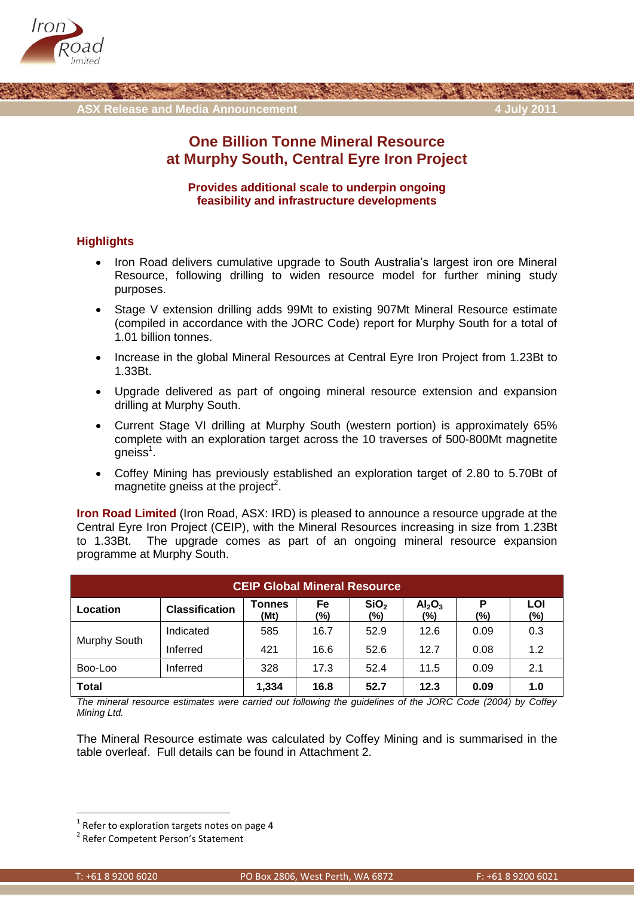



# **One Billion Tonne Mineral Resource at Murphy South, Central Eyre Iron Project**

### **Provides additional scale to underpin ongoing feasibility and infrastructure developments**

### **Highlights**

- Iron Road delivers cumulative upgrade to South Australia's largest iron ore Mineral Resource, following drilling to widen resource model for further mining study purposes.
- Stage V extension drilling adds 99Mt to existing 907Mt Mineral Resource estimate (compiled in accordance with the JORC Code) report for Murphy South for a total of 1.01 billion tonnes.
- Increase in the global Mineral Resources at Central Eyre Iron Project from 1.23Bt to 1.33Bt.
- Upgrade delivered as part of ongoing mineral resource extension and expansion drilling at Murphy South.
- Current Stage VI drilling at Murphy South (western portion) is approximately 65% complete with an exploration target across the 10 traverses of 500-800Mt magnetite gneiss $^1$ .
- Coffey Mining has previously established an exploration target of 2.80 to 5.70Bt of magnetite gneiss at the project<sup>2</sup>.

**Iron Road Limited** (Iron Road, ASX: IRD) is pleased to announce a resource upgrade at the Central Eyre Iron Project (CEIP), with the Mineral Resources increasing in size from 1.23Bt to 1.33Bt. The upgrade comes as part of an ongoing mineral resource expansion programme at Murphy South.

| <b>CEIP Global Mineral Resource</b> |                       |                       |           |                         |                                       |          |            |  |  |  |  |
|-------------------------------------|-----------------------|-----------------------|-----------|-------------------------|---------------------------------------|----------|------------|--|--|--|--|
| Location                            | <b>Classification</b> | <b>Tonnes</b><br>(Mt) | Fe<br>(%) | SiO <sub>2</sub><br>(%) | Al <sub>2</sub> O <sub>3</sub><br>(%) | Ρ<br>(%) | LOI<br>(%) |  |  |  |  |
| Murphy South                        | Indicated             | 585                   | 16.7      | 52.9                    | 12.6                                  | 0.09     | 0.3        |  |  |  |  |
|                                     | Inferred              | 421                   | 16.6      | 52.6                    | 12.7                                  | 0.08     | 1.2        |  |  |  |  |
| Boo-Loo                             | Inferred              | 328                   | 17.3      | 52.4                    | 11.5                                  | 0.09     | 2.1        |  |  |  |  |
| <b>Total</b>                        |                       | 1,334                 | 16.8      | 52.7                    | 12.3                                  | 0.09     | 1.0        |  |  |  |  |

*The mineral resource estimates were carried out following the guidelines of the JORC Code (2004) by Coffey Mining Ltd.* 

The Mineral Resource estimate was calculated by Coffey Mining and is summarised in the table overleaf. Full details can be found in Attachment 2.

**.** 

 $1$  Refer to exploration targets notes on page 4

<sup>&</sup>lt;sup>2</sup> Refer Competent Person's Statement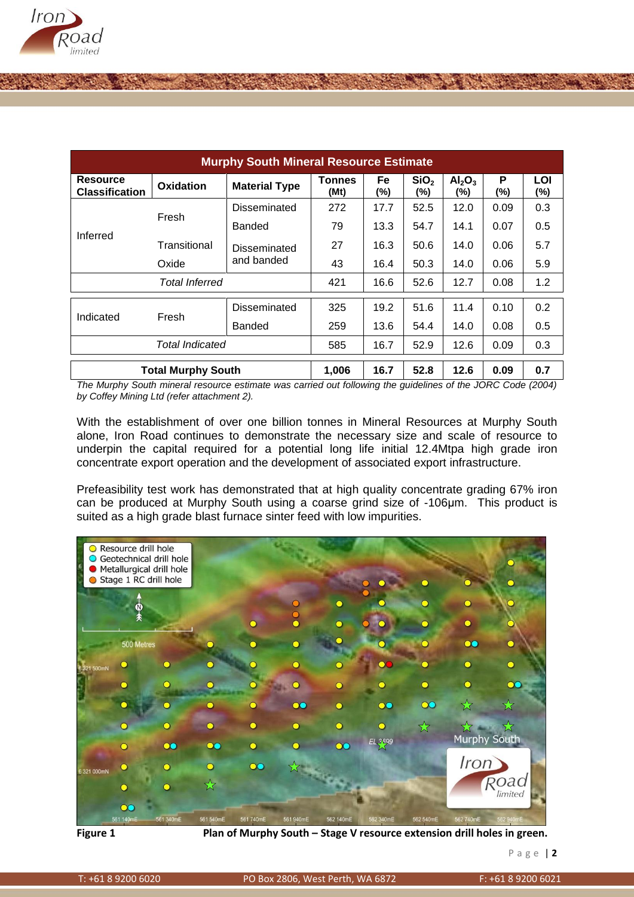

| <b>Murphy South Mineral Resource Estimate</b> |                           |                      |                       |           |                         |                                       |          |            |  |  |  |  |
|-----------------------------------------------|---------------------------|----------------------|-----------------------|-----------|-------------------------|---------------------------------------|----------|------------|--|--|--|--|
| <b>Resource</b><br><b>Classification</b>      | Oxidation                 | <b>Material Type</b> | <b>Tonnes</b><br>(Mt) | Fe<br>(%) | SiO <sub>2</sub><br>(%) | Al <sub>2</sub> O <sub>3</sub><br>(%) | P<br>(%) | LOI<br>(%) |  |  |  |  |
| Inferred                                      | Fresh                     | Disseminated         | 272                   | 17.7      | 52.5                    | 12.0                                  | 0.09     | 0.3        |  |  |  |  |
|                                               |                           | Banded               | 79                    | 13.3      | 54.7                    | 14.1                                  | 0.07     | 0.5        |  |  |  |  |
|                                               | Transitional              | Disseminated         | 27                    | 16.3      | 50.6                    | 14.0                                  | 0.06     | 5.7        |  |  |  |  |
|                                               | Oxide                     | and banded           | 43                    | 16.4      | 50.3                    | 14.0                                  | 0.06     | 5.9        |  |  |  |  |
|                                               | Total Inferred            | 421                  | 16.6                  | 52.6      | 12.7                    | 0.08                                  | 1.2      |            |  |  |  |  |
| Indicated                                     | Fresh                     | Disseminated         | 325                   | 19.2      | 51.6                    | 11.4                                  | 0.10     | 0.2        |  |  |  |  |
|                                               |                           | <b>Banded</b>        | 259                   | 13.6      | 54.4                    | 14.0                                  | 0.08     | 0.5        |  |  |  |  |
|                                               | 585                       | 16.7                 | 52.9                  | 12.6      | 0.09                    | 0.3                                   |          |            |  |  |  |  |
|                                               | <b>Total Murphy South</b> |                      | 1,006                 | 16.7      | 52.8                    | 12.6                                  | 0.09     | 0.7        |  |  |  |  |

*The Murphy South mineral resource estimate was carried out following the guidelines of the JORC Code (2004) by Coffey Mining Ltd (refer attachment 2).* 

With the establishment of over one billion tonnes in Mineral Resources at Murphy South alone, Iron Road continues to demonstrate the necessary size and scale of resource to underpin the capital required for a potential long life initial 12.4Mtpa high grade iron concentrate export operation and the development of associated export infrastructure.

Prefeasibility test work has demonstrated that at high quality concentrate grading 67% iron can be produced at Murphy South using a coarse grind size of -106μm. This product is suited as a high grade blast furnace sinter feed with low impurities.



Figure 1 **Plan of Murphy South – Stage V resource extension drill holes in green.**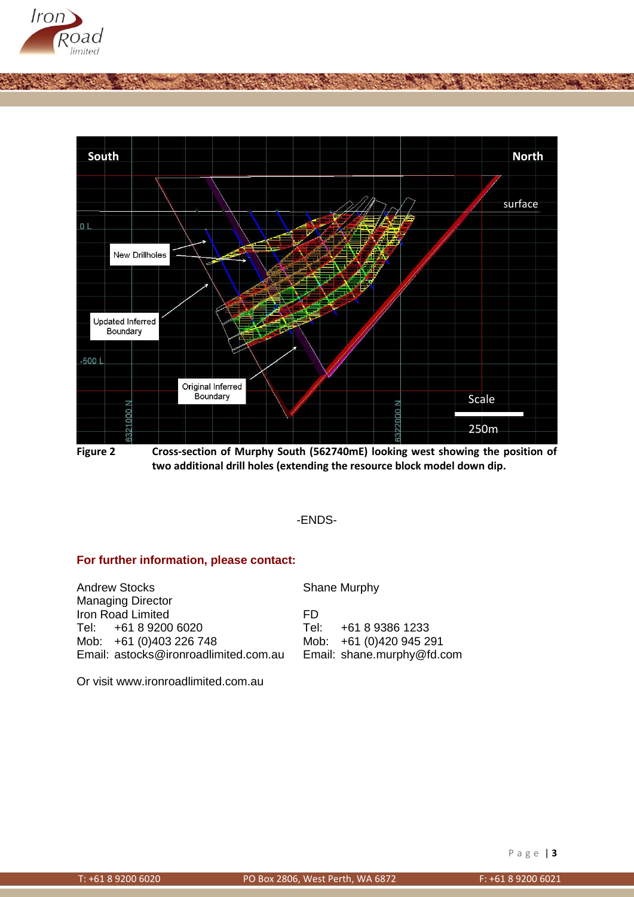



**Figure 2 Cross-section of Murphy South (562740mE) looking west showing the position of two additional drill holes (extending the resource block model down dip.**

-ENDS-

### **For further information, please contact:**

Andrew Stocks Shane Murphy Managing Director Iron Road Limited<br>
Tel: +61 8 9200 6020 Tel: Tel: Tel: +61 8 9200 6020 Tel: +61 8 9386 1233 Mob: +61 (0)403 226 748 Mob: +61 (0)420 945 291 Email: [astocks@ironroadlimited.com.au](mailto:astocks@ironroadlimited.com.au) Email: [shane.murphy@fd.com](mailto:shane.murphy@fd.com)

Or visit [www.ironroadlimited.com.au](http://www.ironroadlimited.com.au/)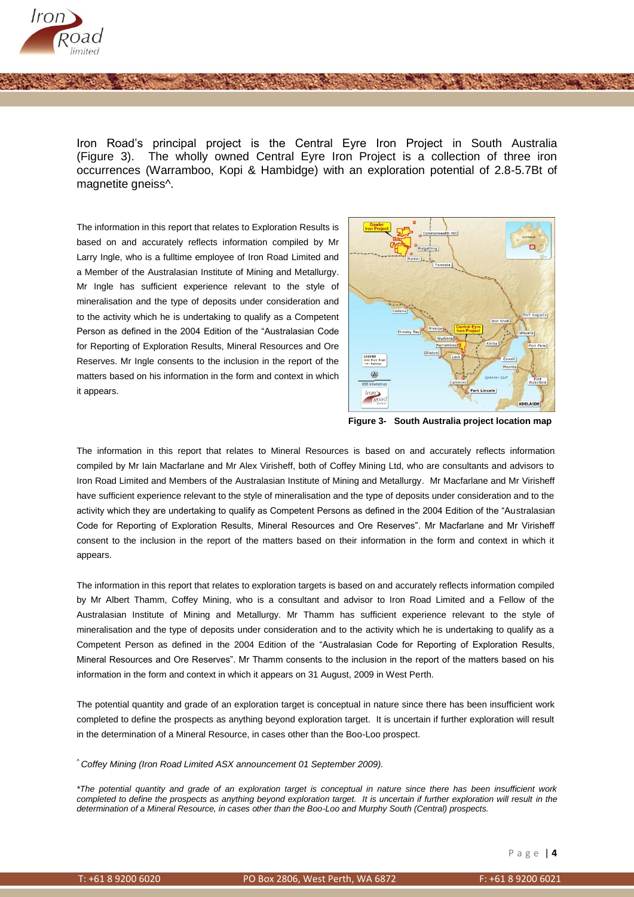

Iron Road's principal project is the Central Eyre Iron Project in South Australia (Figure 3). The wholly owned Central Eyre Iron Project is a collection of three iron occurrences (Warramboo, Kopi & Hambidge) with an exploration potential of 2.8-5.7Bt of magnetite gneiss^.

The information in this report that relates to Exploration Results is based on and accurately reflects information compiled by Mr Larry Ingle, who is a fulltime employee of Iron Road Limited and a Member of the Australasian Institute of Mining and Metallurgy. Mr Ingle has sufficient experience relevant to the style of mineralisation and the type of deposits under consideration and to the activity which he is undertaking to qualify as a Competent Person as defined in the 2004 Edition of the "Australasian Code for Reporting of Exploration Results, Mineral Resources and Ore Reserves. Mr Ingle consents to the inclusion in the report of the matters based on his information in the form and context in which it appears.



**Figure 3- South Australia project location map**

The information in this report that relates to Mineral Resources is based on and accurately reflects information compiled by Mr Iain Macfarlane and Mr Alex Virisheff, both of Coffey Mining Ltd, who are consultants and advisors to Iron Road Limited and Members of the Australasian Institute of Mining and Metallurgy. Mr Macfarlane and Mr Virisheff have sufficient experience relevant to the style of mineralisation and the type of deposits under consideration and to the activity which they are undertaking to qualify as Competent Persons as defined in the 2004 Edition of the "Australasian Code for Reporting of Exploration Results, Mineral Resources and Ore Reserves". Mr Macfarlane and Mr Virisheff consent to the inclusion in the report of the matters based on their information in the form and context in which it appears.

The information in this report that relates to exploration targets is based on and accurately reflects information compiled by Mr Albert Thamm, Coffey Mining, who is a consultant and advisor to Iron Road Limited and a Fellow of the Australasian Institute of Mining and Metallurgy. Mr Thamm has sufficient experience relevant to the style of mineralisation and the type of deposits under consideration and to the activity which he is undertaking to qualify as a Competent Person as defined in the 2004 Edition of the "Australasian Code for Reporting of Exploration Results, Mineral Resources and Ore Reserves". Mr Thamm consents to the inclusion in the report of the matters based on his information in the form and context in which it appears on 31 August, 2009 in West Perth.

The potential quantity and grade of an exploration target is conceptual in nature since there has been insufficient work completed to define the prospects as anything beyond exploration target. It is uncertain if further exploration will result in the determination of a Mineral Resource, in cases other than the Boo-Loo prospect.

^ *Coffey Mining (Iron Road Limited ASX announcement 01 September 2009).*

*\*The potential quantity and grade of an exploration target is conceptual in nature since there has been insufficient work*  completed to define the prospects as anything beyond exploration target. It is uncertain if further exploration will result in the *determination of a Mineral Resource, in cases other than the Boo-Loo and Murphy South (Central) prospects.*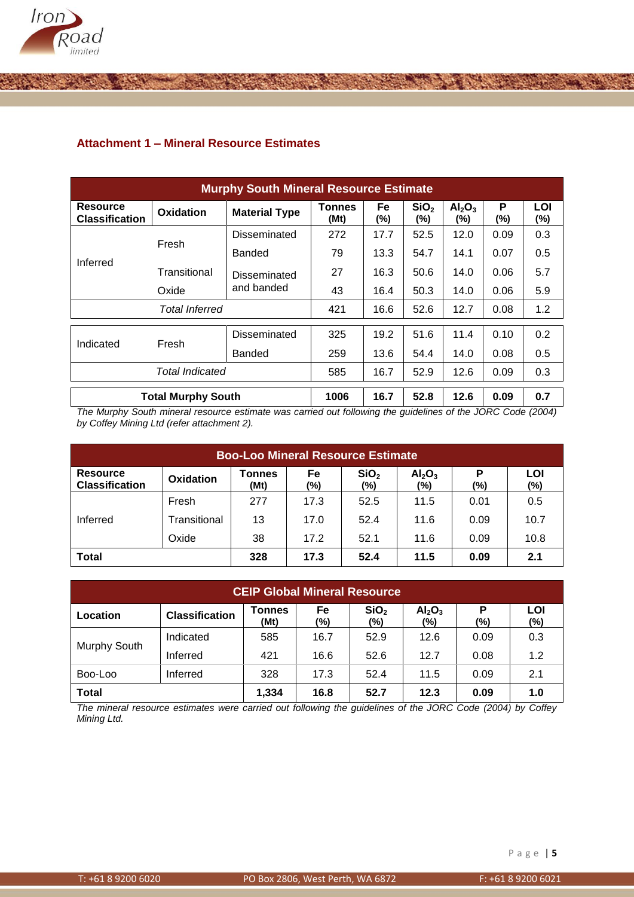

## **Attachment 1 – Mineral Resource Estimates**

| <b>Murphy South Mineral Resource Estimate</b> |                           |                      |                       |              |                         |                                       |          |               |  |  |  |
|-----------------------------------------------|---------------------------|----------------------|-----------------------|--------------|-------------------------|---------------------------------------|----------|---------------|--|--|--|
| <b>Resource</b><br><b>Classification</b>      | <b>Oxidation</b>          | <b>Material Type</b> | <b>Tonnes</b><br>(Mt) | Fe<br>$(\%)$ | SiO <sub>2</sub><br>(%) | Al <sub>2</sub> O <sub>3</sub><br>(%) | P<br>(%) | LOI<br>$(\%)$ |  |  |  |
| Inferred                                      | Fresh                     | Disseminated         | 272                   | 17.7         | 52.5                    | 12.0                                  | 0.09     | 0.3           |  |  |  |
|                                               |                           | <b>Banded</b>        | 79                    | 13.3         | 54.7                    | 14.1                                  | 0.07     | 0.5           |  |  |  |
|                                               | Transitional              | Disseminated         | 27                    | 16.3         | 50.6                    | 14.0                                  | 0.06     | 5.7           |  |  |  |
|                                               | Oxide                     | and banded           | 43                    | 16.4         | 50.3                    | 14.0                                  | 0.06     | 5.9           |  |  |  |
|                                               | <b>Total Inferred</b>     | 421                  | 16.6                  | 52.6         | 12.7                    | 0.08                                  | 1.2      |               |  |  |  |
| Indicated                                     | Fresh                     | Disseminated         | 325                   | 19.2         | 51.6                    | 11.4                                  | 0.10     | 0.2           |  |  |  |
|                                               |                           | <b>Banded</b>        | 259                   | 13.6         | 54.4                    | 14.0                                  | 0.08     | 0.5           |  |  |  |
|                                               | <b>Total Indicated</b>    | 585                  | 16.7                  | 52.9         | 12.6                    | 0.09                                  | 0.3      |               |  |  |  |
|                                               | <b>Total Murphy South</b> |                      | 1006                  | 16.7         | 52.8                    | 12.6                                  | 0.09     | 0.7           |  |  |  |

*The Murphy South mineral resource estimate was carried out following the guidelines of the JORC Code (2004) by Coffey Mining Ltd (refer attachment 2).* 

| <b>Boo-Loo Mineral Resource Estimate</b> |                  |                       |           |                         |                                       |          |            |  |  |  |
|------------------------------------------|------------------|-----------------------|-----------|-------------------------|---------------------------------------|----------|------------|--|--|--|
| <b>Resource</b><br><b>Classification</b> | <b>Oxidation</b> | <b>Tonnes</b><br>(Mt) | Fe<br>(%) | SiO <sub>2</sub><br>(%) | Al <sub>2</sub> O <sub>3</sub><br>(%) | P<br>(%) | LOI<br>(%) |  |  |  |
| Inferred                                 | Fresh            | 277                   | 17.3      | 52.5                    | 11.5                                  | 0.01     | 0.5        |  |  |  |
|                                          | Transitional     | 13                    | 17.0      | 52.4                    | 11.6                                  | 0.09     | 10.7       |  |  |  |
|                                          | Oxide            | 38                    | 17.2      | 52.1                    | 11.6                                  | 0.09     | 10.8       |  |  |  |
| <b>Total</b>                             |                  | 328                   | 17.3      | 52.4                    | 11.5                                  | 0.09     | 2.1        |  |  |  |

| <b>CEIP Global Mineral Resource</b> |                       |                |           |                         |                                       |          |            |  |  |  |
|-------------------------------------|-----------------------|----------------|-----------|-------------------------|---------------------------------------|----------|------------|--|--|--|
| Location                            | <b>Classification</b> | Tonnes<br>(Mt) | Fe<br>(%) | SiO <sub>2</sub><br>(%) | Al <sub>2</sub> O <sub>3</sub><br>(%) | Р<br>(%) | LOI<br>(%) |  |  |  |
| Murphy South                        | Indicated             | 585            | 16.7      | 52.9                    | 12.6                                  | 0.09     | 0.3        |  |  |  |
|                                     | Inferred              | 421            | 16.6      | 52.6                    | 12.7                                  | 0.08     | 1.2        |  |  |  |
| Boo-Loo<br>Inferred                 |                       | 328            | 17.3      | 52.4                    | 11.5                                  | 0.09     | 2.1        |  |  |  |
| <b>Total</b>                        |                       | 1,334          | 16.8      | 52.7                    | 12.3                                  | 0.09     | 1.0        |  |  |  |

*The mineral resource estimates were carried out following the guidelines of the JORC Code (2004) by Coffey Mining Ltd.*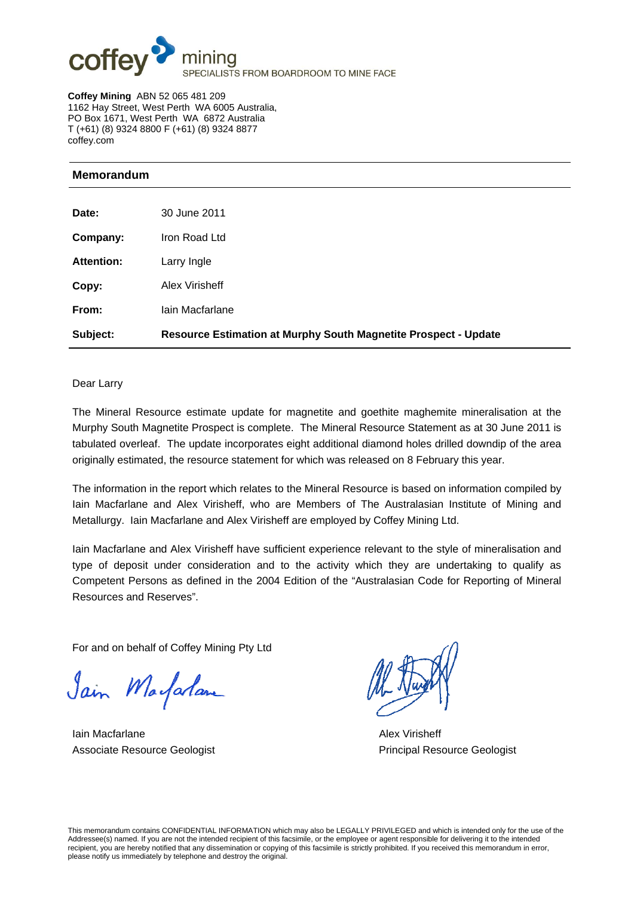

**Coffey Mining** ABN 52 065 481 209 1162 Hay Street, West Perth WA 6005 Australia, PO Box 1671, West Perth WA 6872 Australia T (+61) (8) 9324 8800 F (+61) (8) 9324 8877 coffey.com

## **Memorandum**

| Subject:          | <b>Resource Estimation at Murphy South Magnetite Prospect - Update</b> |
|-------------------|------------------------------------------------------------------------|
| From:             | lain Macfarlane                                                        |
| Copy:             | Alex Virisheff                                                         |
| <b>Attention:</b> | Larry Ingle                                                            |
| Company:          | Iron Road Ltd                                                          |
| Date:             | 30 June 2011                                                           |
|                   |                                                                        |

#### Dear Larry

The Mineral Resource estimate update for magnetite and goethite maghemite mineralisation at the Murphy South Magnetite Prospect is complete. The Mineral Resource Statement as at 30 June 2011 is tabulated overleaf. The update incorporates eight additional diamond holes drilled downdip of the area originally estimated, the resource statement for which was released on 8 February this year.

The information in the report which relates to the Mineral Resource is based on information compiled by Iain Macfarlane and Alex Virisheff, who are Members of The Australasian Institute of Mining and Metallurgy. Iain Macfarlane and Alex Virisheff are employed by Coffey Mining Ltd.

Iain Macfarlane and Alex Virisheff have sufficient experience relevant to the style of mineralisation and type of deposit under consideration and to the activity which they are undertaking to qualify as Competent Persons as defined in the 2004 Edition of the "Australasian Code for Reporting of Mineral Resources and Reserves".

For and on behalf of Coffey Mining Pty Ltd

Jain Marfarlam

**Iain Macfarlane Alex Virisheff** Alex Virisheff Associate Resource Geologist **Principal Resource Geologist** Principal Resource Geologist

This memorandum contains CONFIDENTIAL INFORMATION which may also be LEGALLY PRIVILEGED and which is intended only for the use of the Addressee(s) named. If you are not the intended recipient of this facsimile, or the employee or agent responsible for delivering it to the intended recipient, you are hereby notified that any dissemination or copying of this facsimile is strictly prohibited. If you received this memorandum in error, please notify us immediately by telephone and destroy the original.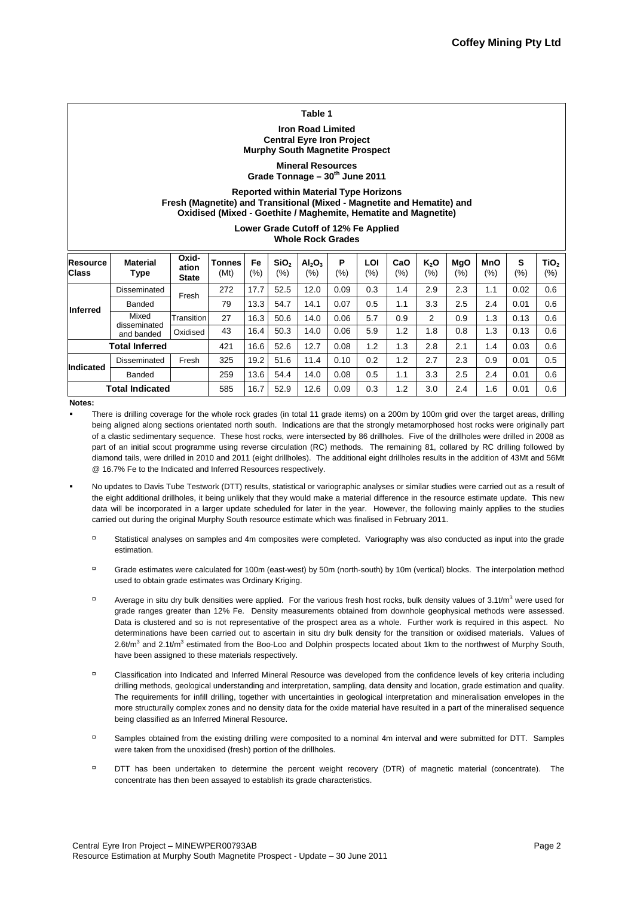#### **Table 1**

#### **Iron Road Limited Central Eyre Iron Project Murphy South Magnetite Prospect**

**Mineral Resources**  Grade Tonnage - 30<sup>th</sup> June 2011

#### **Reported within Material Type Horizons Fresh (Magnetite) and Transitional (Mixed - Magnetite and Hematite) and Oxidised (Mixed - Goethite / Maghemite, Hematite and Magnetite)**

**Lower Grade Cutoff of 12% Fe Applied Whole Rock Grades**

| <b>Resource</b><br><b>Class</b> | <b>Material</b><br>Type             | Oxid-<br>ation<br><b>State</b> | <b>Tonnes</b><br>(Mt) | Fe<br>$\frac{1}{2}$ | SiO <sub>2</sub><br>(9/6) | Al <sub>2</sub> O <sub>3</sub><br>$(\% )$ | Р<br>(%) | LOI<br>(%) | CaO<br>$\frac{(9/6)}{2}$ | K,O<br>$(\% )$ | <b>MgO</b><br>$(\% )$ | <b>MnO</b><br>$(\%)$ | S<br>(%) | TiO <sub>2</sub><br>(9/6) |
|---------------------------------|-------------------------------------|--------------------------------|-----------------------|---------------------|---------------------------|-------------------------------------------|----------|------------|--------------------------|----------------|-----------------------|----------------------|----------|---------------------------|
| Inferred                        | <b>Disseminated</b>                 | Fresh                          | 272                   | 17.7                | 52.5                      | 12.0                                      | 0.09     | 0.3        | 1.4                      | 2.9            | 2.3                   | 1.1                  | 0.02     | 0.6                       |
|                                 | Banded                              |                                | 79                    | 13.3                | 54.7                      | 14.1                                      | 0.07     | 0.5        | 1.1                      | 3.3            | 2.5                   | 2.4                  | 0.01     | 0.6                       |
|                                 | Mixed<br>disseminated<br>and banded | Transition                     | 27                    | 16.3                | 50.6                      | 14.0                                      | 0.06     | 5.7        | 0.9                      | 2              | 0.9                   | 1.3                  | 0.13     | 0.6                       |
|                                 |                                     | Oxidised                       | 43                    | 16.4                | 50.3                      | 14.0                                      | 0.06     | 5.9        | 1.2                      | 1.8            | 0.8                   | 1.3                  | 0.13     | 0.6                       |
| <b>Total Inferred</b>           |                                     |                                | 421                   | 16.6                | 52.6                      | 12.7                                      | 0.08     | 1.2        | 1.3                      | 2.8            | 2.1                   | 1.4                  | 0.03     | 0.6                       |
| <b>Indicated</b>                | Disseminated                        | Fresh                          | 325                   | 19.2                | 51.6                      | 11.4                                      | 0.10     | 0.2        | 1.2                      | 2.7            | 2.3                   | 0.9                  | 0.01     | 0.5                       |
|                                 | Banded                              |                                | 259                   | 13.6                | 54.4                      | 14.0                                      | 0.08     | 0.5        | 1.1                      | 3.3            | 2.5                   | 2.4                  | 0.01     | 0.6                       |
|                                 | <b>Total Indicated</b>              |                                | 585                   | 16.7                | 52.9                      | 12.6                                      | 0.09     | 0.3        | 1.2                      | 3.0            | 2.4                   | 1.6                  | 0.01     | 0.6                       |

**Notes:** 

- There is drilling coverage for the whole rock grades (in total 11 grade items) on a 200m by 100m grid over the target areas, drilling being aligned along sections orientated north south. Indications are that the strongly metamorphosed host rocks were originally part of a clastic sedimentary sequence. These host rocks, were intersected by 86 drillholes. Five of the drillholes were drilled in 2008 as part of an initial scout programme using reverse circulation (RC) methods. The remaining 81, collared by RC drilling followed by diamond tails, were drilled in 2010 and 2011 (eight drillholes). The additional eight drillholes results in the addition of 43Mt and 56Mt @ 16.7% Fe to the Indicated and Inferred Resources respectively.
- No updates to Davis Tube Testwork (DTT) results, statistical or variographic analyses or similar studies were carried out as a result of the eight additional drillholes, it being unlikely that they would make a material difference in the resource estimate update. This new data will be incorporated in a larger update scheduled for later in the year. However, the following mainly applies to the studies carried out during the original Murphy South resource estimate which was finalised in February 2011.
	- Statistical analyses on samples and 4m composites were completed. Variography was also conducted as input into the grade estimation.
	- Grade estimates were calculated for 100m (east-west) by 50m (north-south) by 10m (vertical) blocks. The interpolation method used to obtain grade estimates was Ordinary Kriging.
	- Average in situ dry bulk densities were applied. For the various fresh host rocks, bulk density values of 3.1t/m<sup>3</sup> were used for grade ranges greater than 12% Fe. Density measurements obtained from downhole geophysical methods were assessed. Data is clustered and so is not representative of the prospect area as a whole. Further work is required in this aspect. No determinations have been carried out to ascertain in situ dry bulk density for the transition or oxidised materials. Values of 2.6t/m<sup>3</sup> and 2.1t/m<sup>3</sup> estimated from the Boo-Loo and Dolphin prospects located about 1km to the northwest of Murphy South, have been assigned to these materials respectively.
	- Classification into Indicated and Inferred Mineral Resource was developed from the confidence levels of key criteria including drilling methods, geological understanding and interpretation, sampling, data density and location, grade estimation and quality. The requirements for infill drilling, together with uncertainties in geological interpretation and mineralisation envelopes in the more structurally complex zones and no density data for the oxide material have resulted in a part of the mineralised sequence being classified as an Inferred Mineral Resource.
	- Samples obtained from the existing drilling were composited to a nominal 4m interval and were submitted for DTT. Samples were taken from the unoxidised (fresh) portion of the drillholes.
	- DTT has been undertaken to determine the percent weight recovery (DTR) of magnetic material (concentrate). The concentrate has then been assayed to establish its grade characteristics.